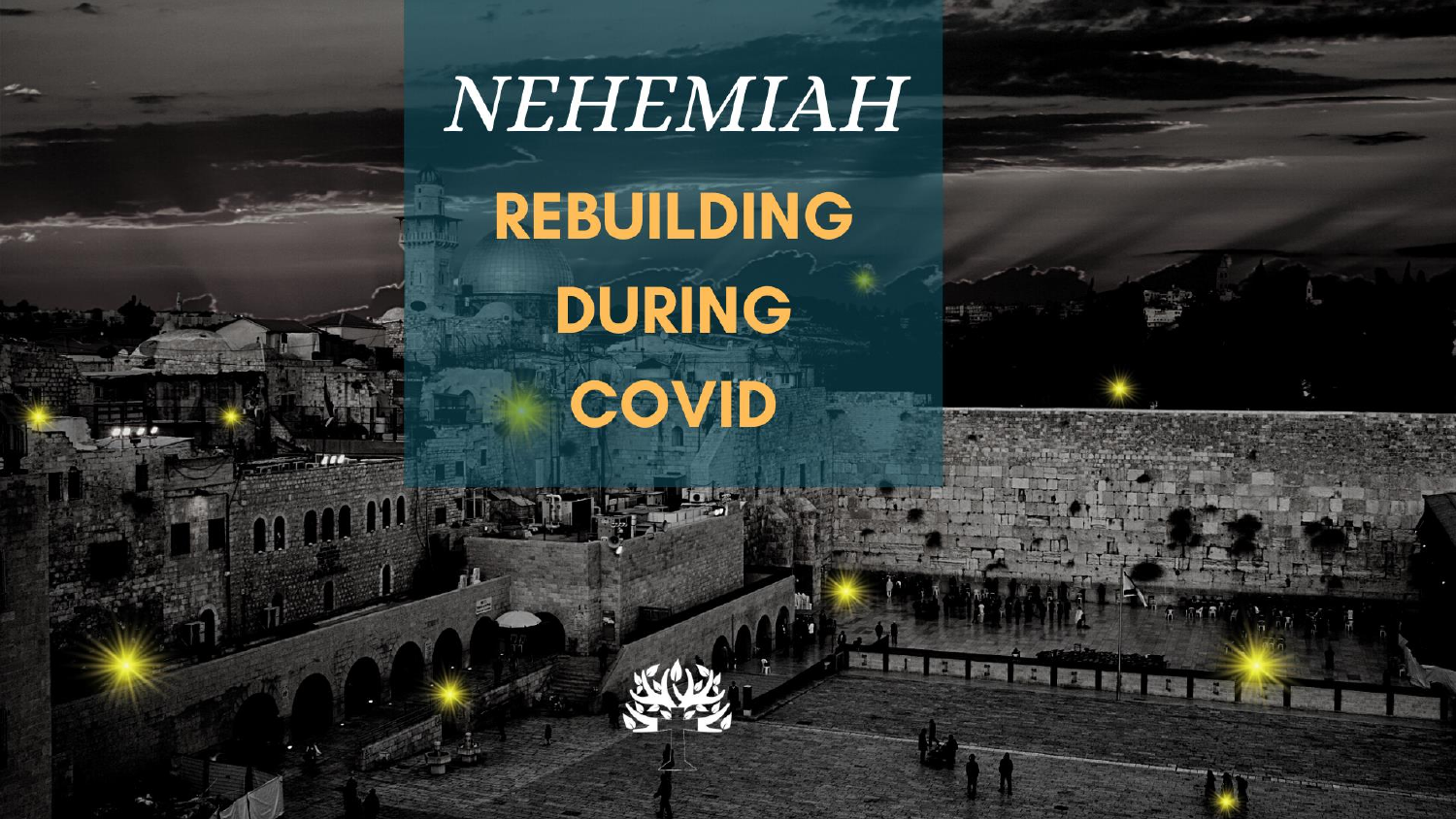# NEHEMIAH REBUILDING

**DURING** COVID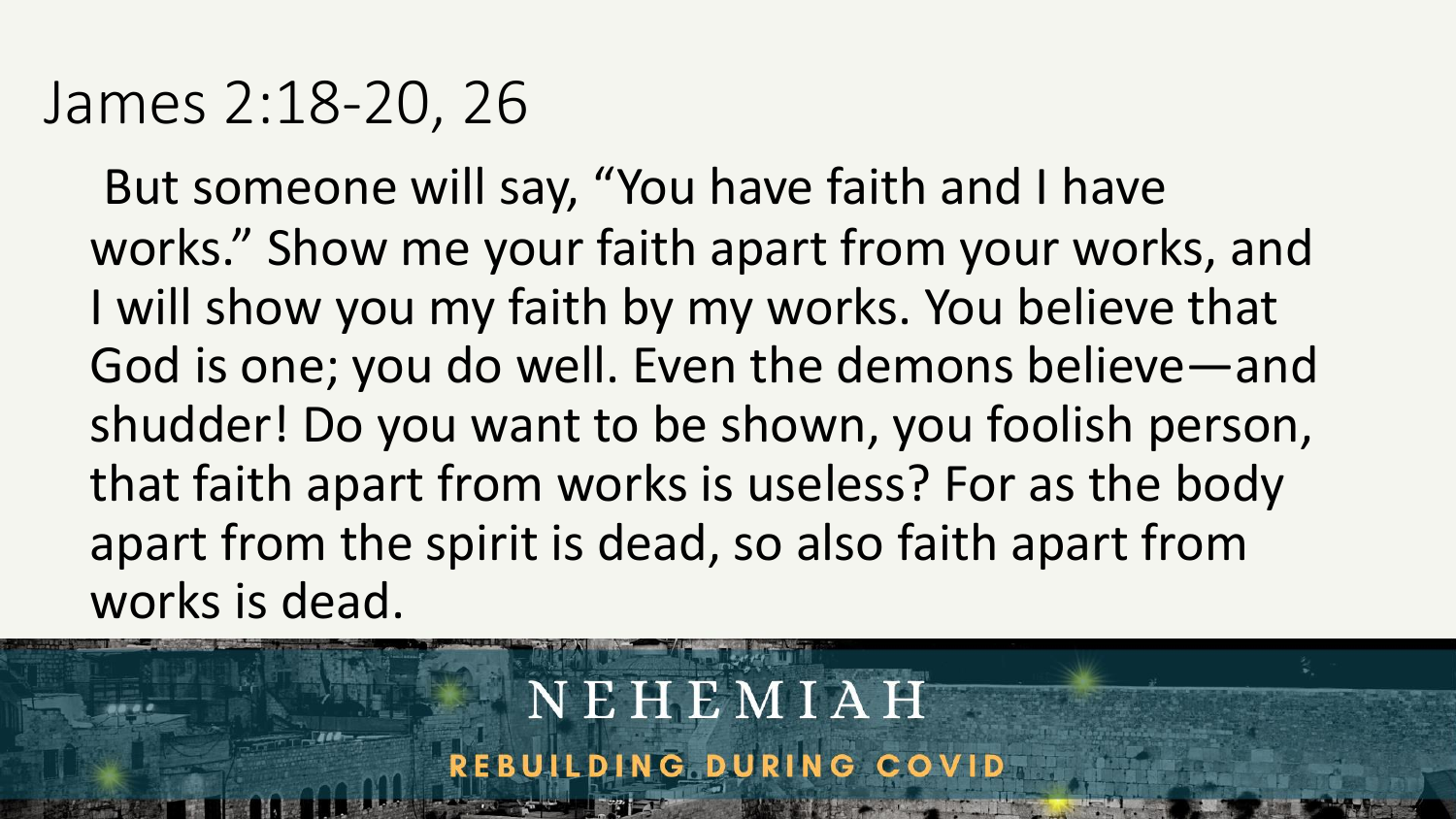### James 2:18-20, 26

But someone will say, "You have faith and I have works." Show me your faith apart from your works, and I will show you my faith by my works. You believe that God is one; you do well. Even the demons believe—and shudder! Do you want to be shown, you foolish person, that faith apart from works is useless? For as the body apart from the spirit is dead, so also faith apart from works is dead.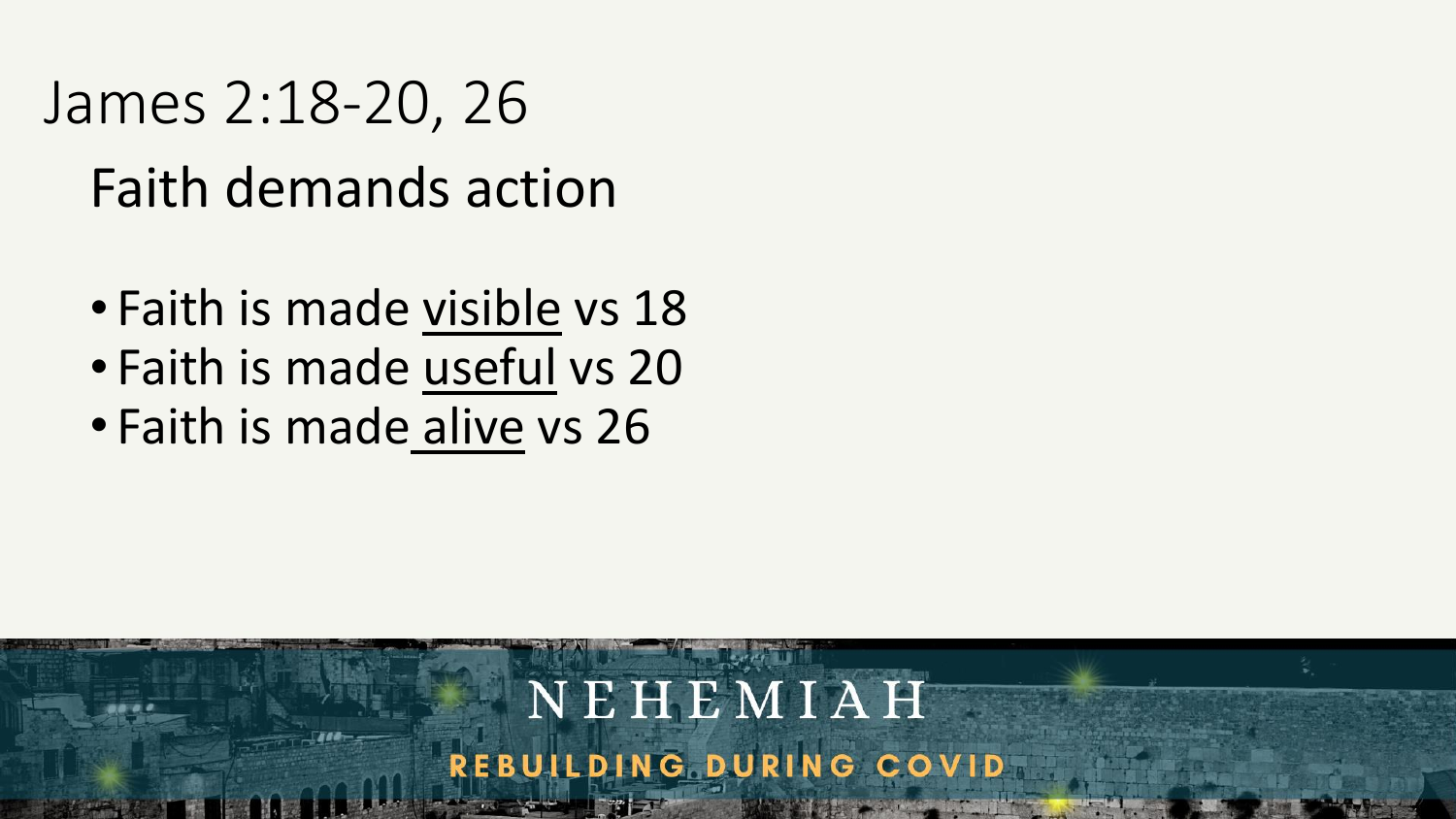### James 2:18-20, 26

### Faith demands action

- Faith is made visible vs 18
- Faith is made useful vs 20
- Faith is made alive vs 26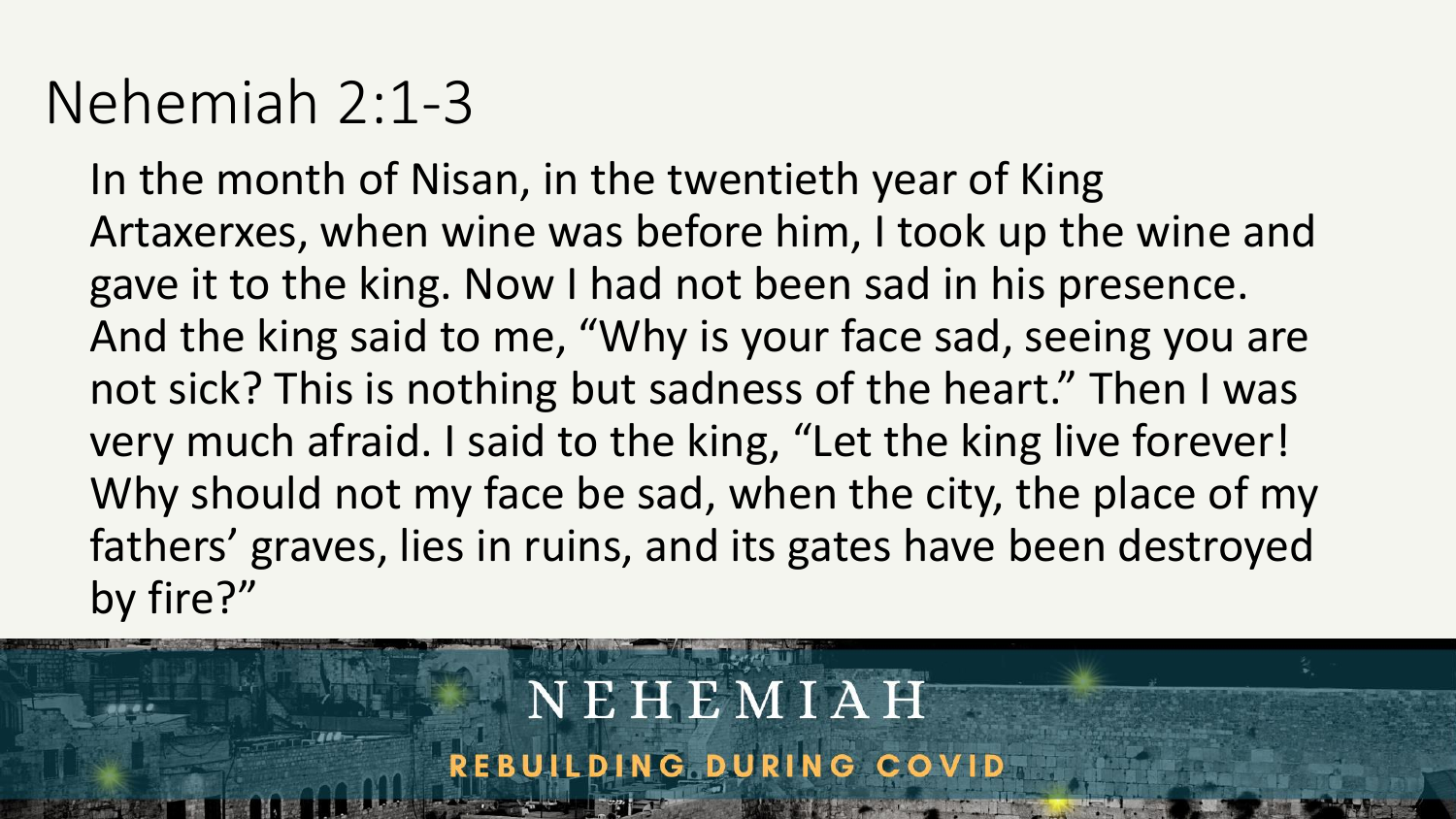### Nehemiah 2:1-3

In the month of Nisan, in the twentieth year of King Artaxerxes, when wine was before him, I took up the wine and gave it to the king. Now I had not been sad in his presence. And the king said to me, "Why is your face sad, seeing you are not sick? This is nothing but sadness of the heart." Then I was very much afraid. I said to the king, "Let the king live forever! Why should not my face be sad, when the city, the place of my fathers' graves, lies in ruins, and its gates have been destroyed by fire?"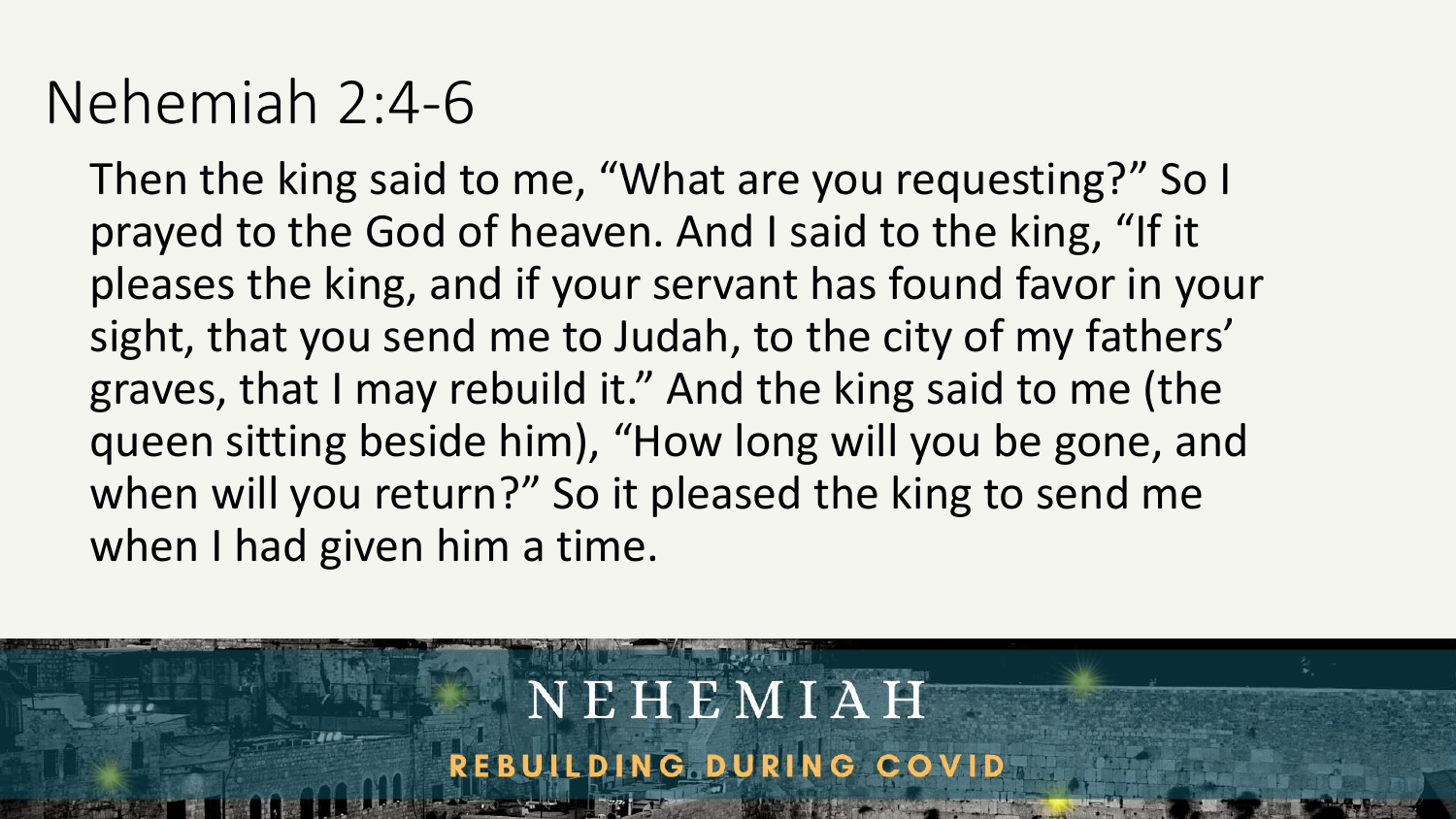### Nehemiah 2:4-6

Then the king said to me, "What are you requesting?" So I prayed to the God of heaven. And I said to the king, "If it pleases the king, and if your servant has found favor in your sight, that you send me to Judah, to the city of my fathers' graves, that I may rebuild it." And the king said to me (the queen sitting beside him), "How long will you be gone, and when will you return?" So it pleased the king to send me when I had given him a time.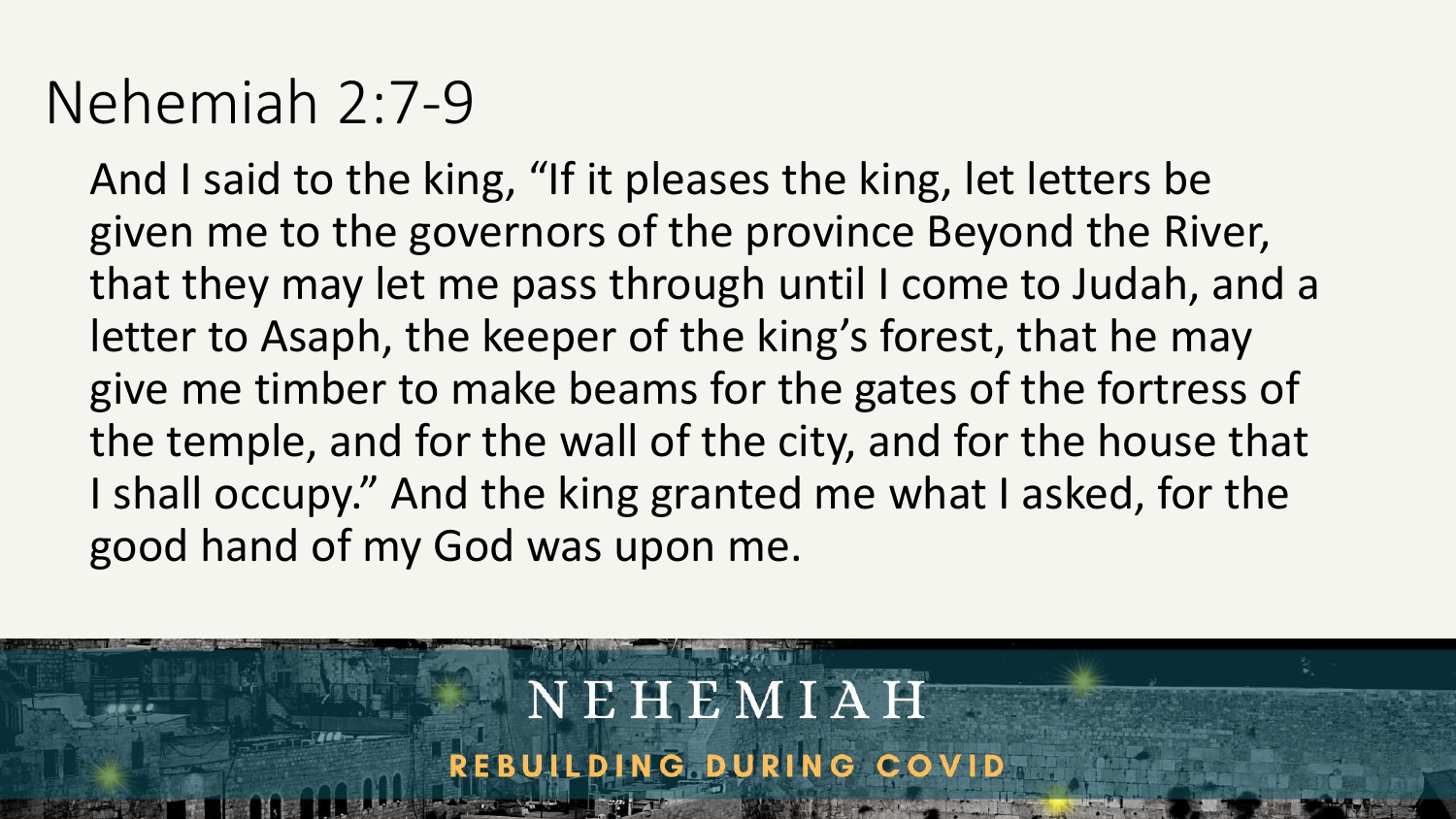### Nehemiah 2:7-9

And I said to the king, "If it pleases the king, let letters be given me to the governors of the province Beyond the River, that they may let me pass through until I come to Judah, and a letter to Asaph, the keeper of the king's forest, that he may give me timber to make beams for the gates of the fortress of the temple, and for the wall of the city, and for the house that I shall occupy." And the king granted me what I asked, for the good hand of my God was upon me.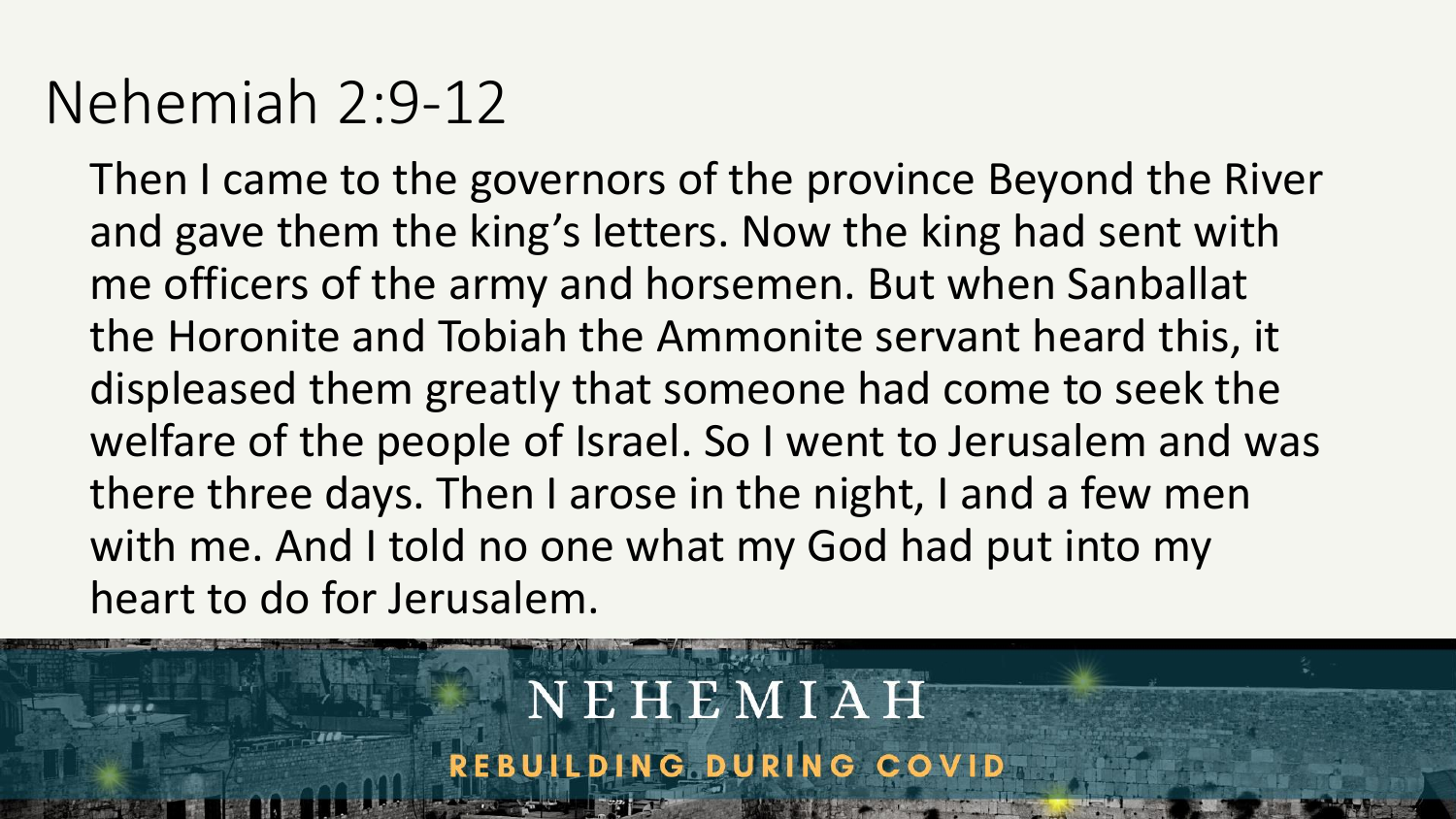### Nehemiah 2:9-12

Then I came to the governors of the province Beyond the River and gave them the king's letters. Now the king had sent with me officers of the army and horsemen. But when Sanballat the Horonite and Tobiah the Ammonite servant heard this, it displeased them greatly that someone had come to seek the welfare of the people of Israel. So I went to Jerusalem and was there three days. Then I arose in the night, I and a few men with me. And I told no one what my God had put into my heart to do for Jerusalem.

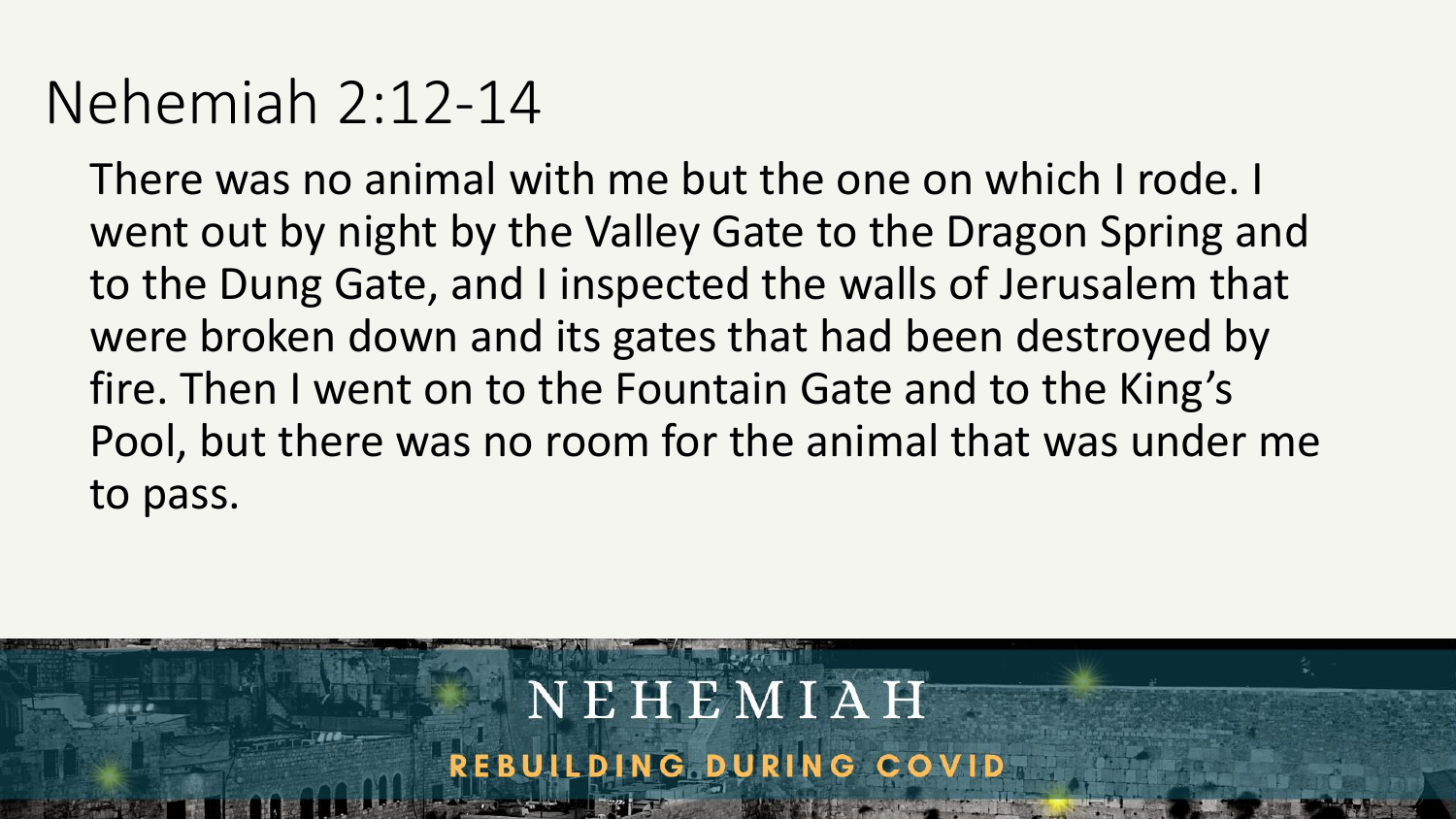### Nehemiah 2:12-14

There was no animal with me but the one on which I rode. I went out by night by the Valley Gate to the Dragon Spring and to the Dung Gate, and I inspected the walls of Jerusalem that were broken down and its gates that had been destroyed by fire. Then I went on to the Fountain Gate and to the King's Pool, but there was no room for the animal that was under me to pass.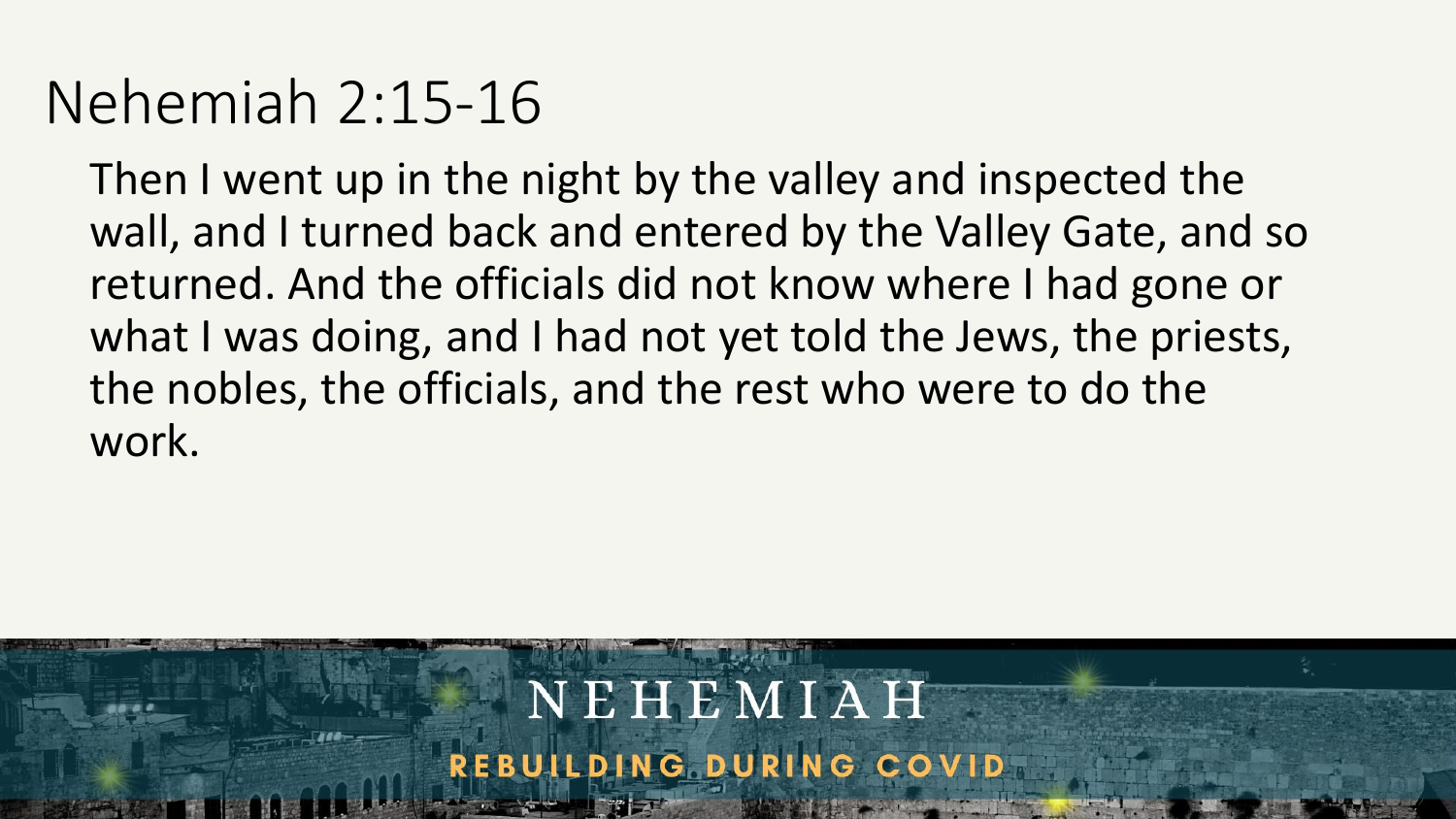### Nehemiah 2:15-16

Then I went up in the night by the valley and inspected the wall, and I turned back and entered by the Valley Gate, and so returned. And the officials did not know where I had gone or what I was doing, and I had not yet told the Jews, the priests, the nobles, the officials, and the rest who were to do the work.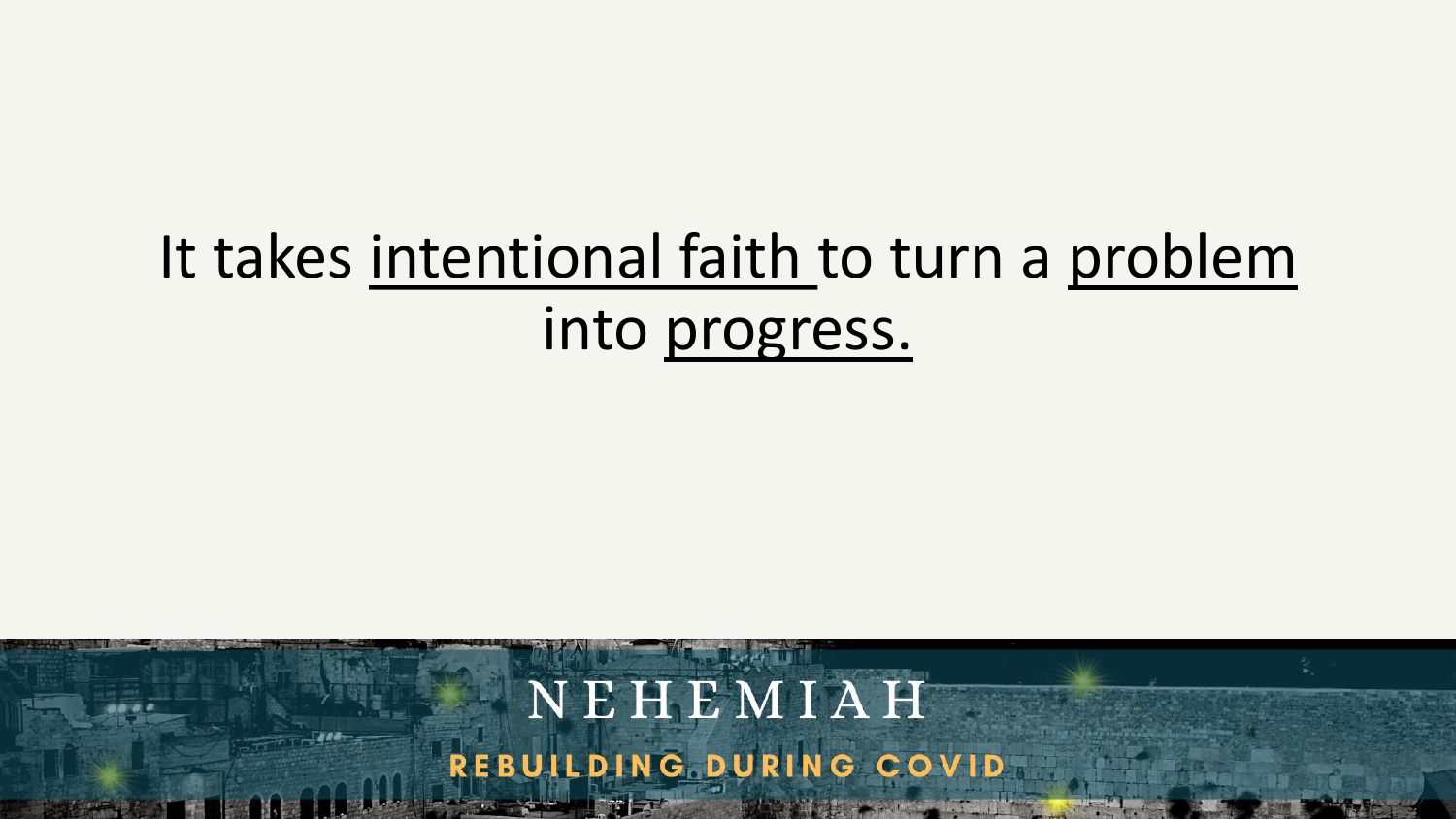# It takes intentional faith to turn a problem into progress.

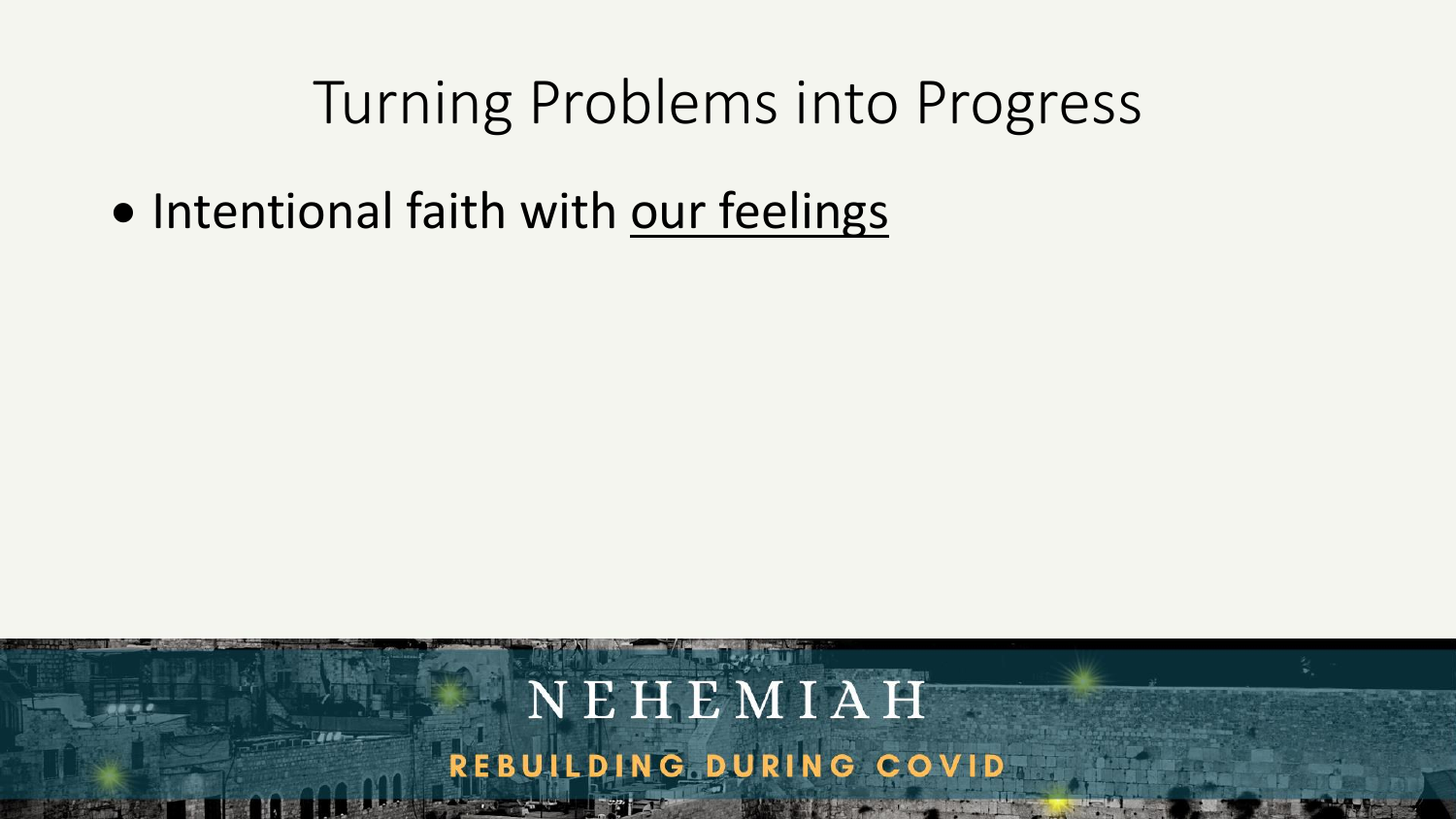• Intentional faith with our feelings

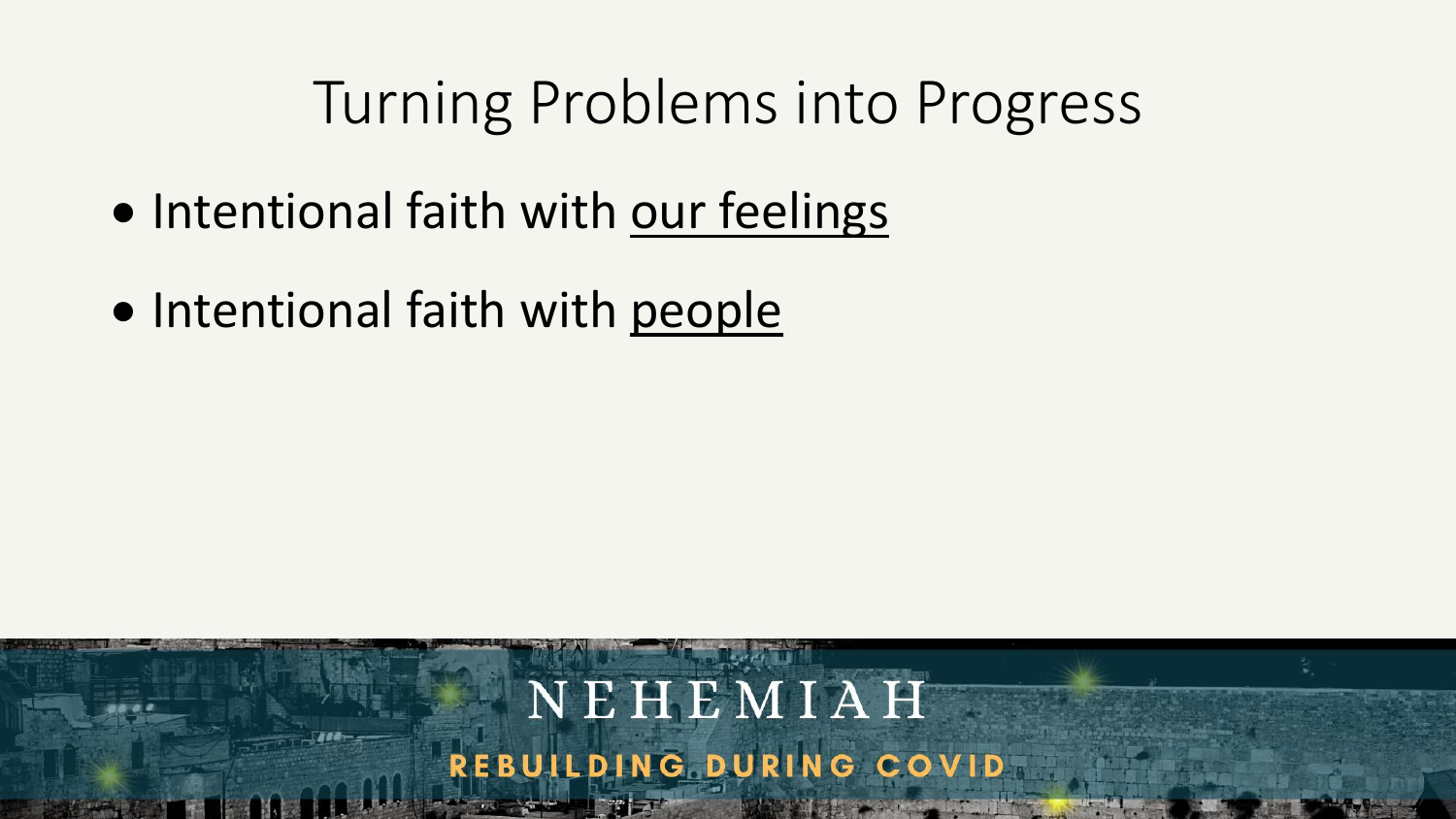- Intentional faith with our feelings
- Intentional faith with people

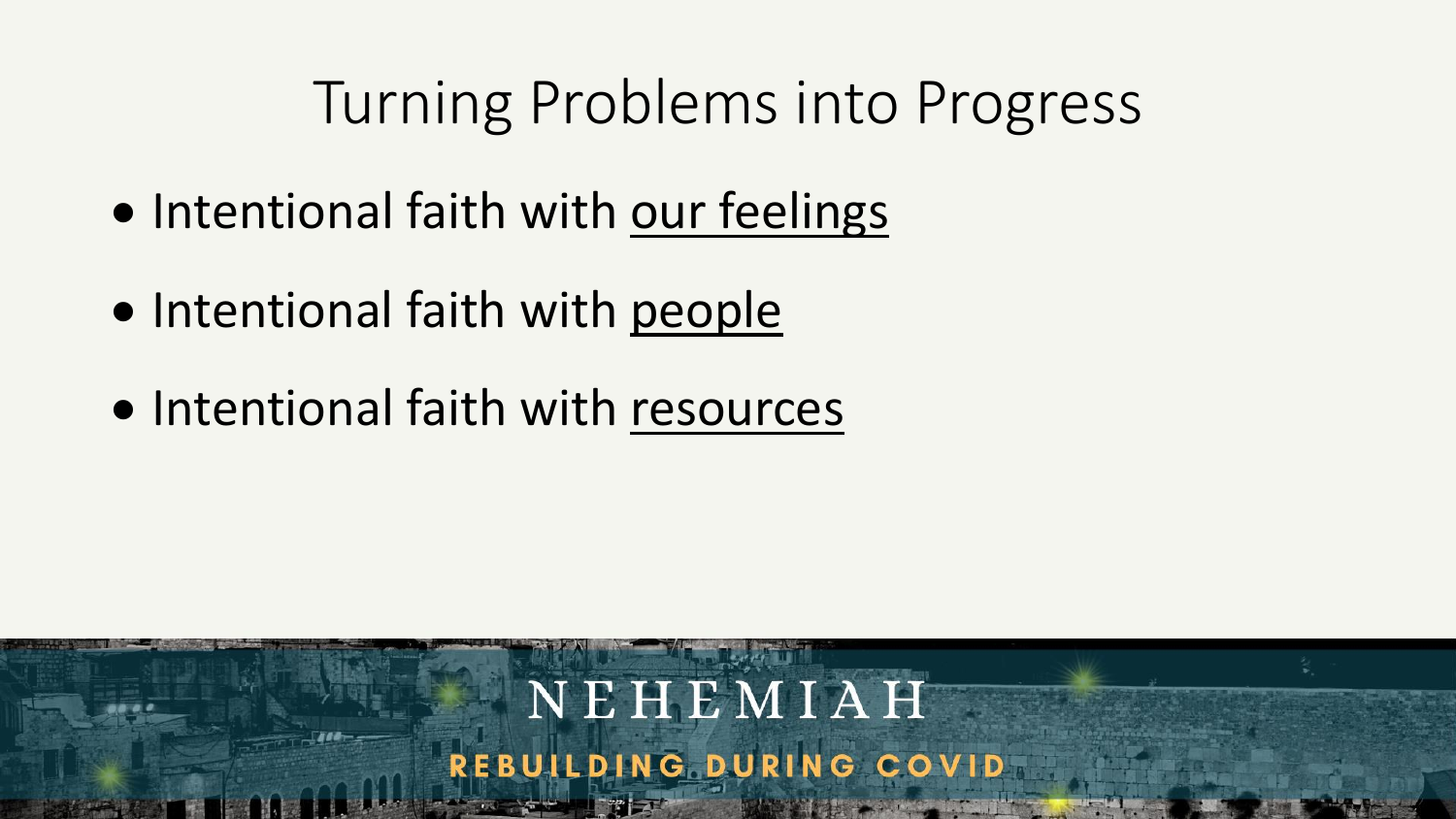NEHEMIAH

REBUILDING DURING COVID

- Intentional faith with our feelings
- Intentional faith with people
- Intentional faith with resources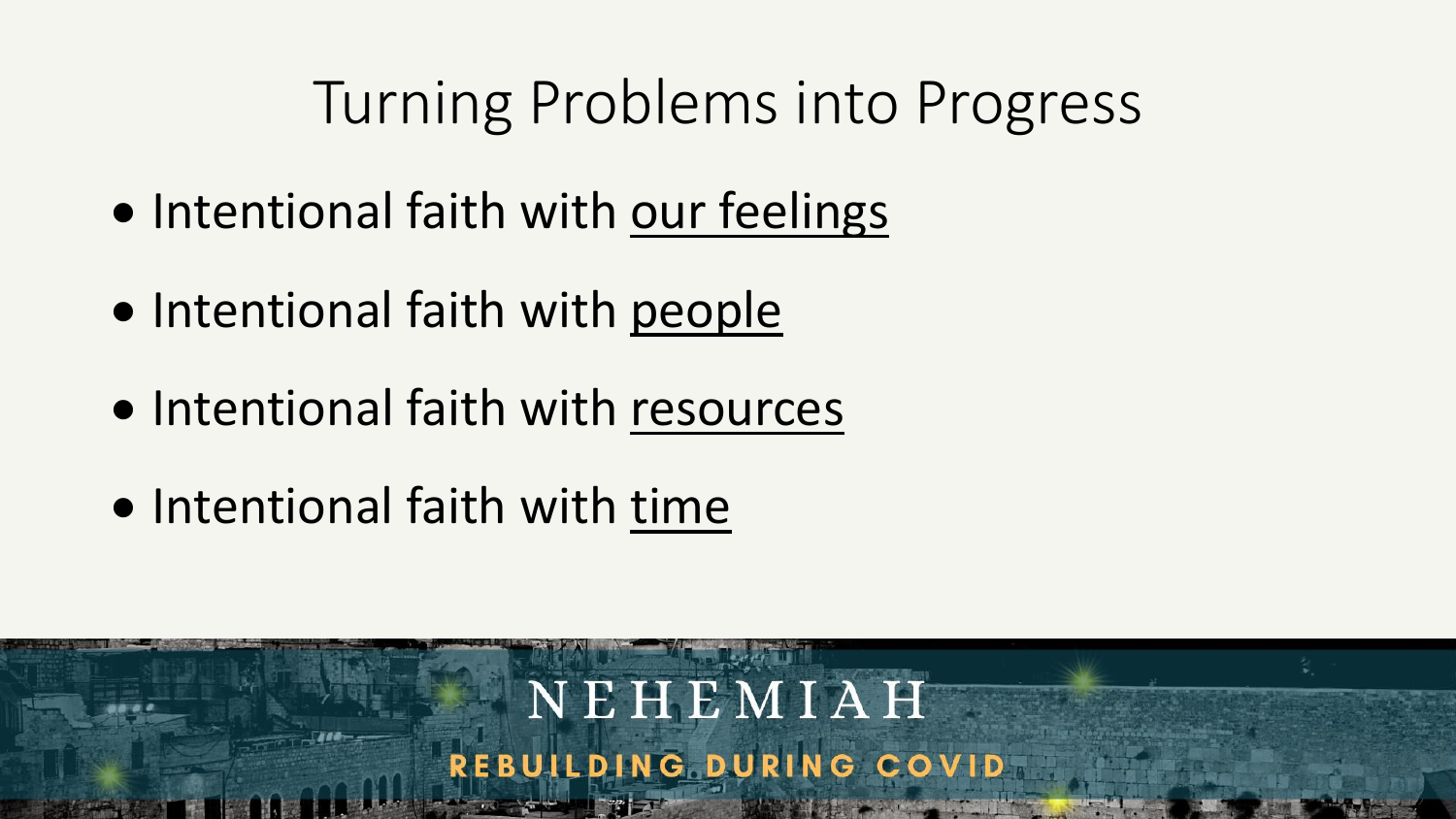- Intentional faith with our feelings
- Intentional faith with people
- Intentional faith with resources
- Intentional faith with time

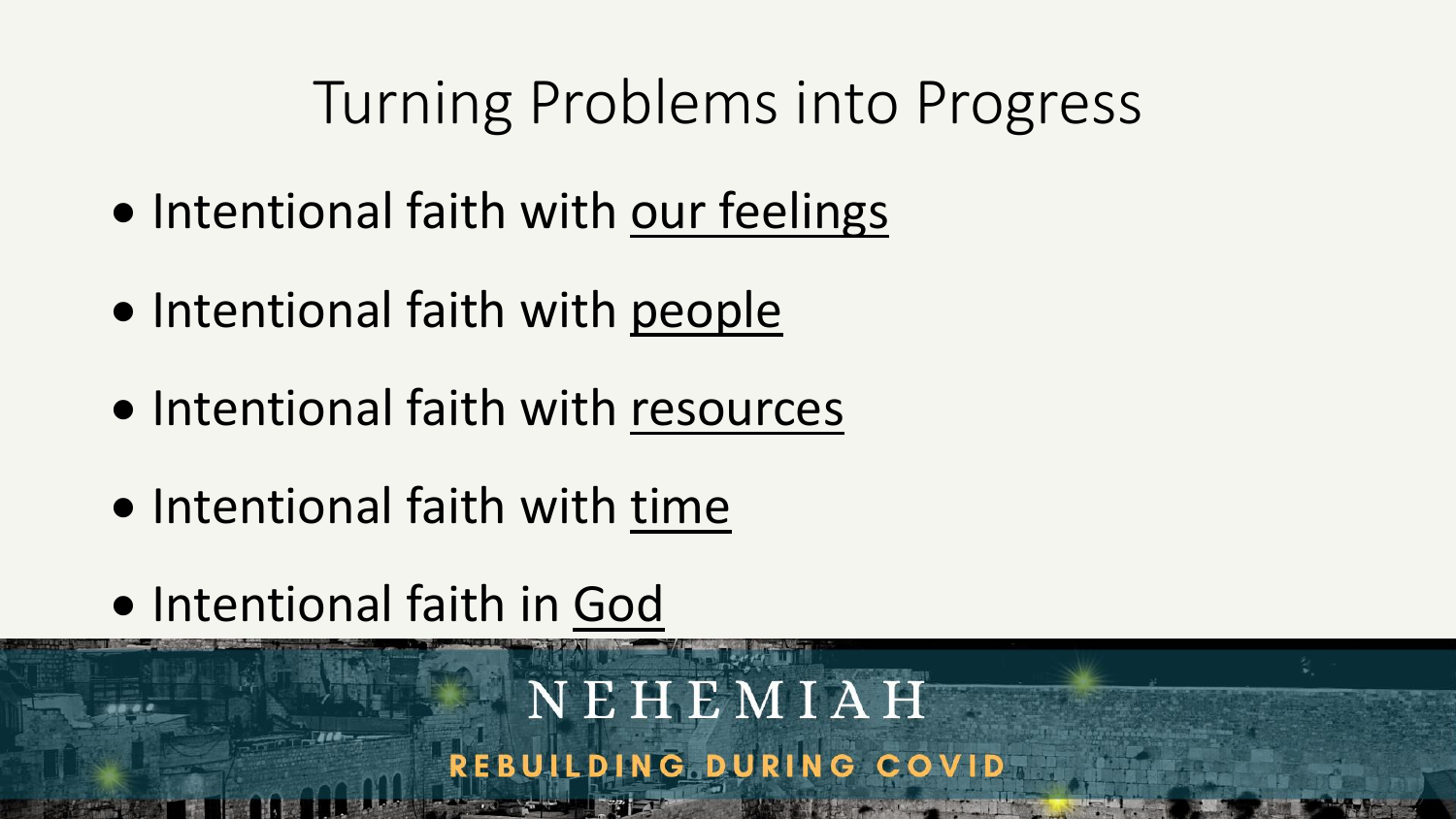- Intentional faith with our feelings
- Intentional faith with people
- Intentional faith with resources
- Intentional faith with time
- Intentional faith in God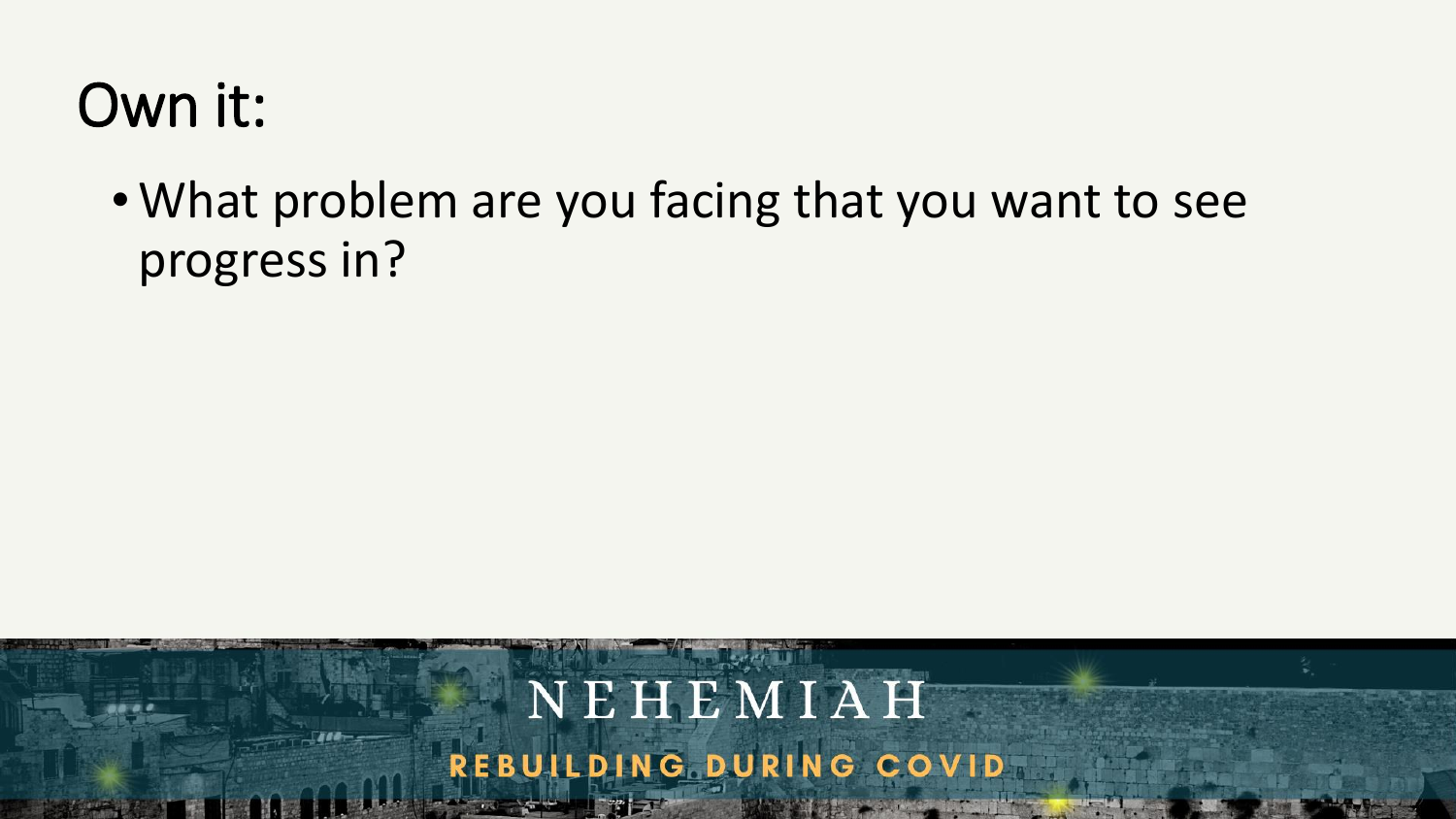### • What problem are you facing that you want to see progress in?

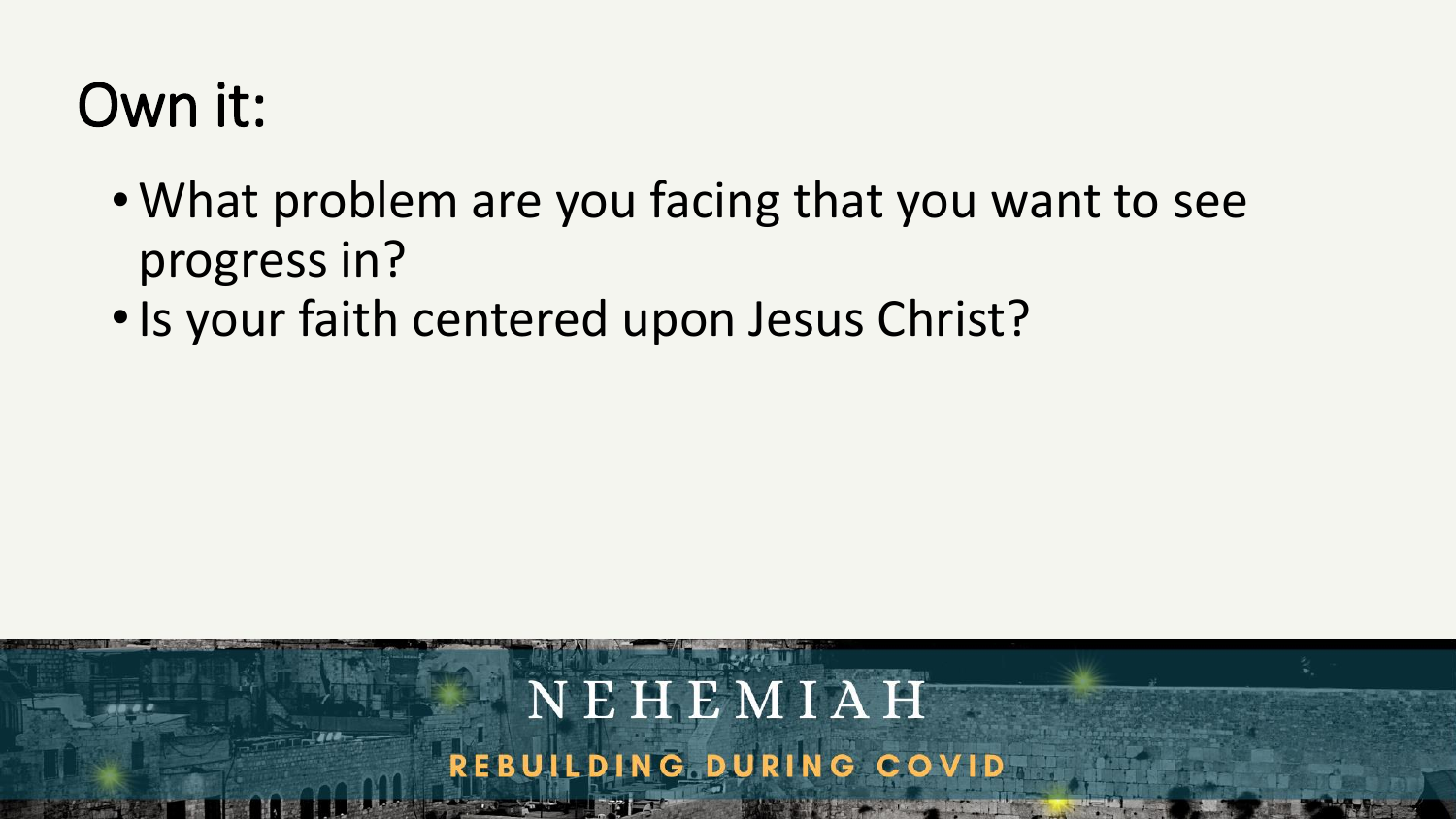- What problem are you facing that you want to see progress in?
- •Is your faith centered upon Jesus Christ?

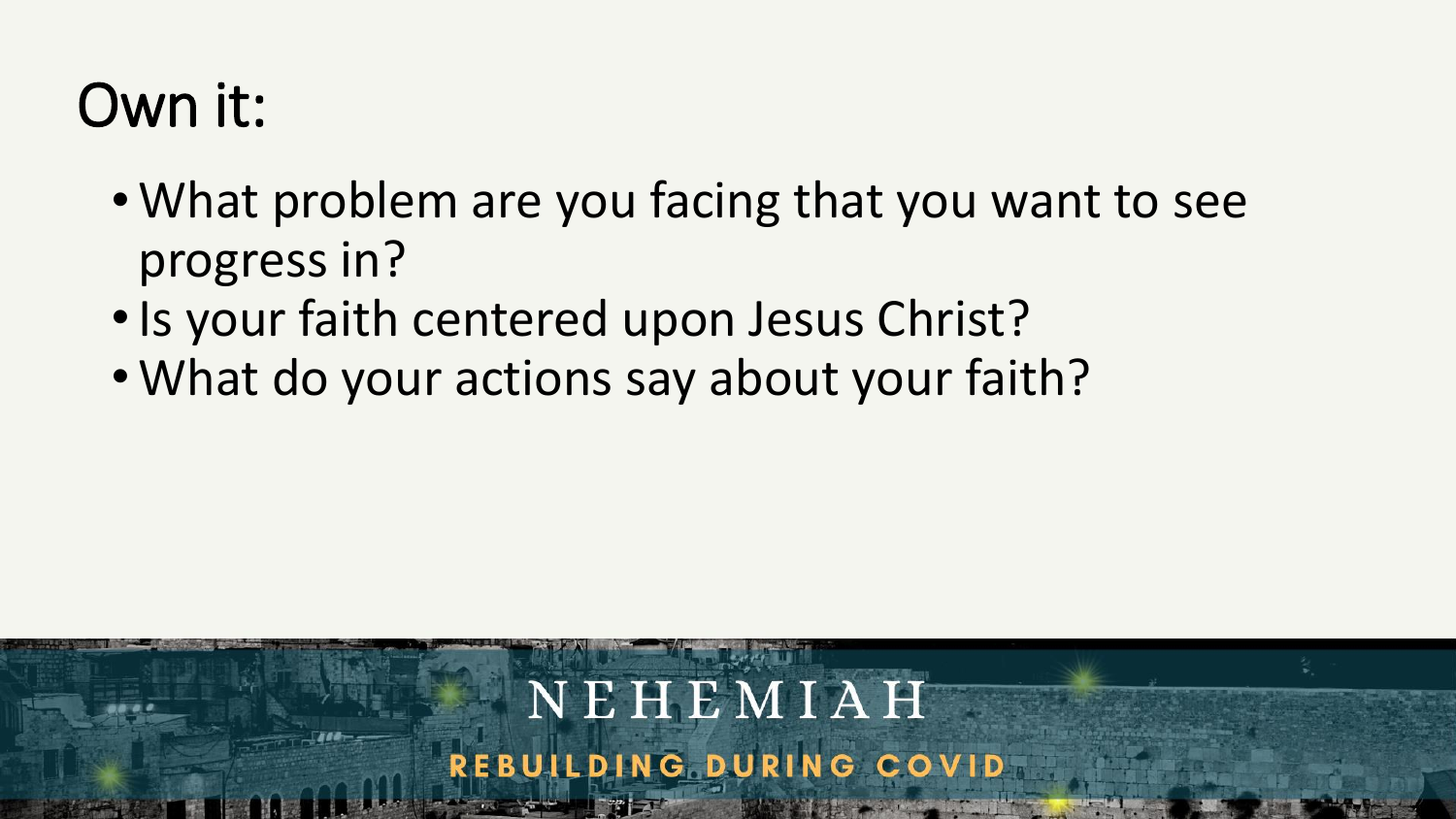- What problem are you facing that you want to see progress in?
- •Is your faith centered upon Jesus Christ?
- What do your actions say about your faith?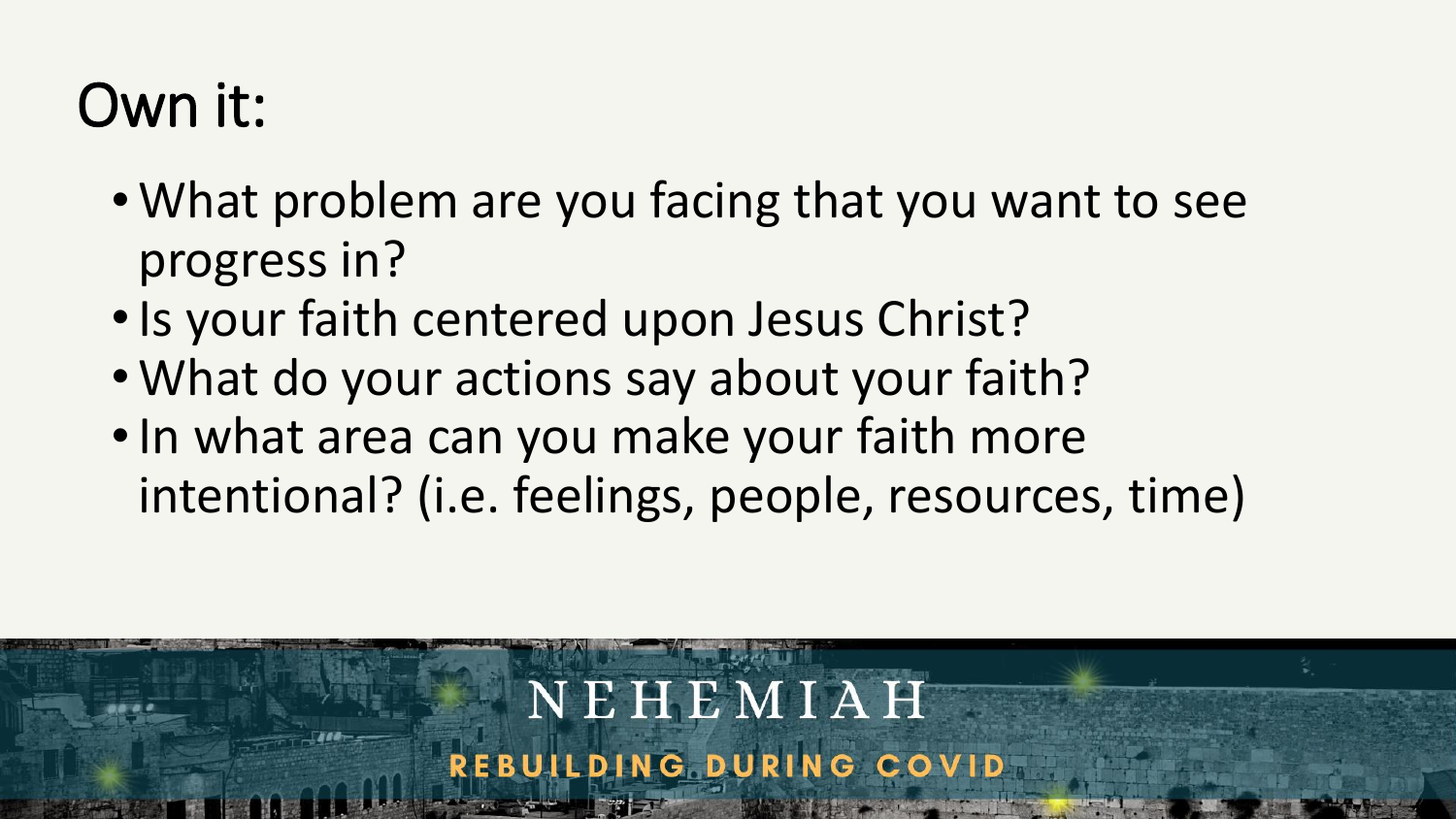- What problem are you facing that you want to see progress in?
- •Is your faith centered upon Jesus Christ?
- What do your actions say about your faith?
- •In what area can you make your faith more intentional? (i.e. feelings, people, resources, time)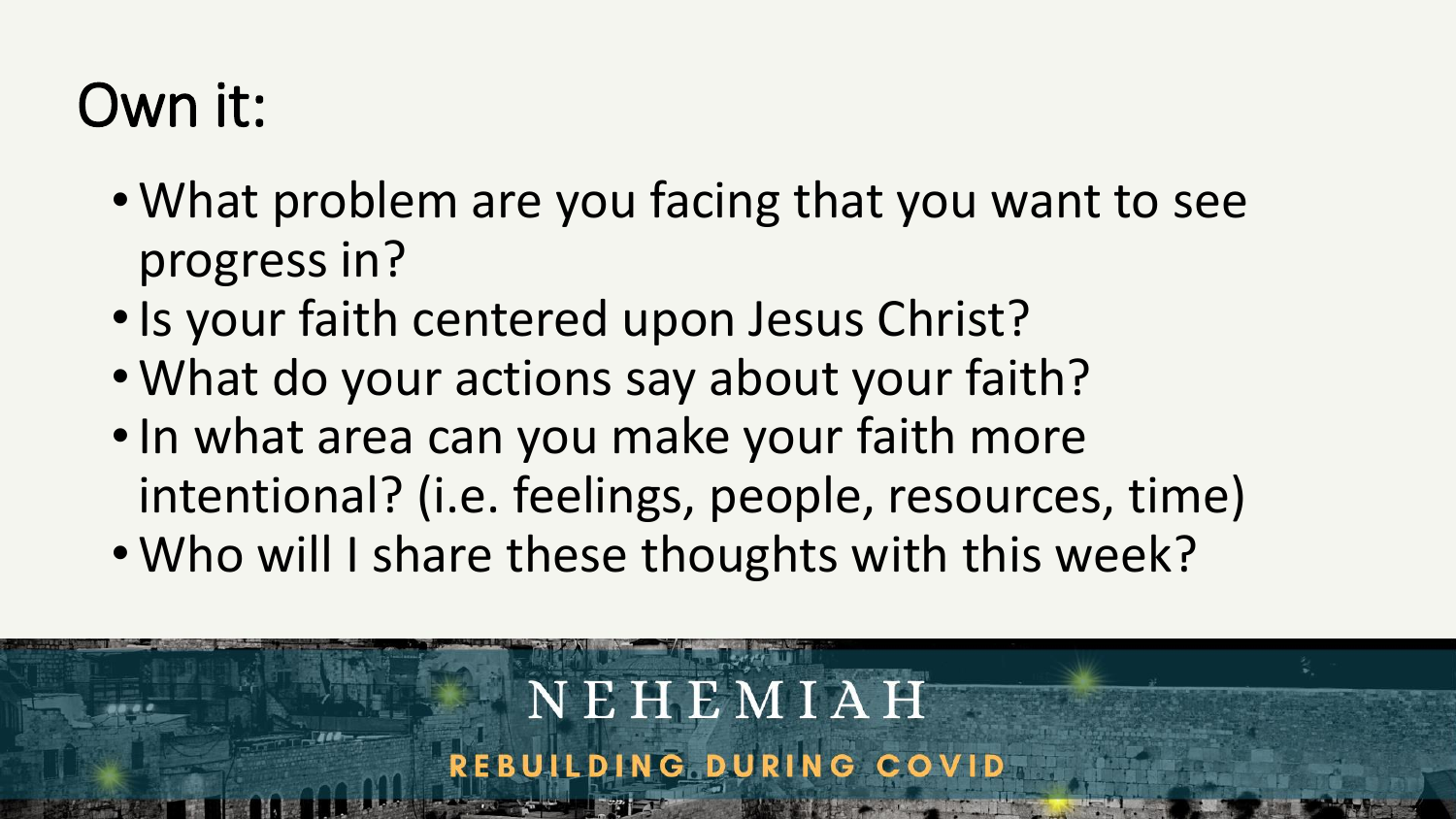- What problem are you facing that you want to see progress in?
- •Is your faith centered upon Jesus Christ?
- What do your actions say about your faith?
- •In what area can you make your faith more intentional? (i.e. feelings, people, resources, time)
- Who will I share these thoughts with this week?